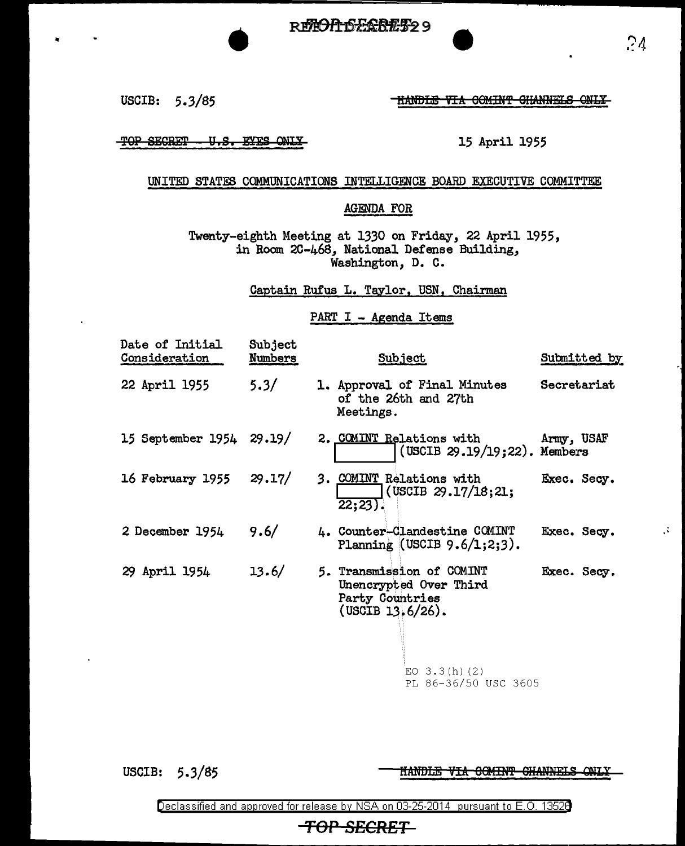USCIB:  $5.3/85$  fiandle via coming channels only

 $\cdot$   $\cdot$   $\cdot$   $\cdot$   $\cdot$ 

TOP SECRET - U.S. EYES ONLY

## 15 April 1955

## UNITED STATES COMMUNICATIONS INTELLIGENCE BOARD EXECUTIVE COMMITTEE

## AGENDA FOR

Twenty-eighth Meeting at 1330 on Friday, 22 April 1955, in Room 2C-468, National Defense Building, Washington, D. C.

Captain Rufus L. Taylor, USN, Chairman

## PART I - Agenda Items

| Date of Initial<br>Consideration | <b>Subject</b><br><u>Numbers</u> | <b>Subject</b>                                                                                | Submitted by |
|----------------------------------|----------------------------------|-----------------------------------------------------------------------------------------------|--------------|
| 22 April 1955                    | 5.3/                             | 1. Approval of Final Minutes<br>of the 26th and 27th<br>Meetings.                             | Secretariat  |
| 15 September 1954 29.19/         |                                  | 2. COMINT Relations with<br>(USCIB 29.19/19;22). Members                                      | Army, USAF   |
| 16 February 1955                 | 29.17/                           | 3. COMINT Relations with<br>(USCIB 29.17/18; 21;<br>$22:23$ .                                 | Exec. Secy.  |
| 2 December 1954                  | 9.6/                             | 4. Counter-Clandestine COMINT<br>Planning (USCIB $9.6/1:2:3$ ).                               | Exec. Secy.  |
| 29 April 1954                    | 13.6/                            | 5. Transmission of COMINT<br>Unencrypted Over Third<br>Party Countries<br>$(USCIB 13.6/26)$ . | Exec. Secy.  |
|                                  |                                  | EO $3.3(h)$ (2)                                                                               |              |

PL 86-36/50 USC 3605

USCIB: 5.3/85

HANDLE VIA COMINT CHANNELS ONLY

Declassified and approved for release by NSA on 03-25-2014 pursuant to E. 0. 1352B

 $\mathcal{Z}_1$